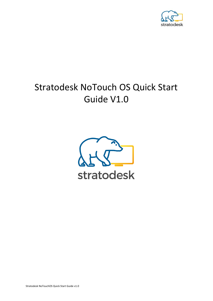

# Stratodesk NoTouch OS Quick Start Guide V1.0

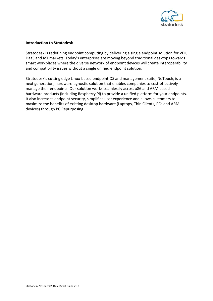

# **Introduction to Stratodesk**

Stratodesk is redefining endpoint computing by delivering a single endpoint solution for VDI, DaaS and IoT markets. Today's enterprises are moving beyond traditional desktops towards smart workplaces where the diverse network of endpoint devices will create interoperability and compatibility issues without a single unified endpoint solution.

Stratodesk's cutting edge Linux-based endpoint OS and management suite, NoTouch, is a next generation, hardware-agnostic solution that enables companies to cost-effectively manage their endpoints. Our solution works seamlessly across x86 and ARM based hardware products (including Raspberry Pi) to provide a unified platform for your endpoints. It also increases endpoint security, simplifies user experience and allows customers to maximize the benefits of existing desktop hardware (Laptops, Thin Clients, PCs and ARM devices) through PC Repurposing.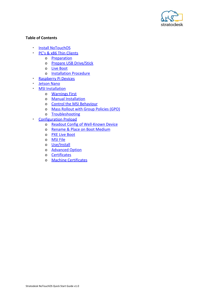

# **Table of Contents**

- **[Install NoTouchOS](#page-2-0)**
- **[PC's & x86 Thin Clients](#page-3-0)** 
	- o [Preparation](#page-3-1)
	- o [Prepare USB Drive/Stick](#page-3-2)
	- o [Live Boot](#page-8-0)
	- o [Installation Procedure](#page-8-1)
- **[Raspberry Pi Devices](#page-12-0)**
- [Jetson Nano](#page-12-1)
- **[MSI Installation](#page-13-0)** 
	- o [Warnings First](#page-13-1)
	- o [Manual Installation](#page-13-2)
	- o [Control the MSI Behaviour](#page-16-0)
	- o [Mass Rollout with Group Policies \(GPO\)](#page-16-1)
	- o [Troubleshooting](#page-17-0)
- <span id="page-2-0"></span>**[Configuration Preload](#page-18-0)** 
	- o [Readout Config of Well-Known Device](#page-18-1)
	- o [Rename & Place on Boot Medium](#page-18-2)
	- o [PXE Live Boot](#page-18-3)
	- o [MSI File](#page-19-0)
	- o [Use/Install](#page-19-1)
	- o [Advanced Option](#page-19-2)
	- o [Certificates](#page-20-0)
	- o [Machine Certificates](#page-20-1)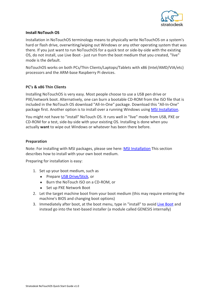

# **Install NoTouch OS**

Installation in NoTouchOS terminology means to physically write NoTouchOS on a system's hard or flash drive, overwriting/wiping out Windows or any other operating system that was there. If you just want to run NoTouchOS for a quick test or side-by-side with the existing OS, do not install, use Live Boot - just run from the boot medium that you created, "live" mode is the default.

NoTouchOS works on both PCs/Thin Clients/Laptops/Tablets with x86 (Intel/AMD/VIA/etc) processors and the ARM-base Raspberry Pi devices.

# <span id="page-3-0"></span>**PC's & x86 Thin Clients**

Installing NoTouchOS is very easy. Most people choose to use a USB pen drive or PXE/network boot. Alternatively, one can burn a bootable CD-ROM from the ISO file that is included in the NoTouch OS download "All-In-One" package. Download this "All-In-One" package first. Another option is to install over a running Windows using **MSI Installation**.

You might not have to "install" NoTouch OS. It runs well in "live" mode from USB, PXE or CD-ROM for a test, side-by-side with your existing OS. Installing is done when you actually **want** to wipe out Windows or whatever has been there before.

# <span id="page-3-1"></span>**Preparation**

Note: For installing with MSI packages, please see here: **MSI Installation** This section describes how to install with your own boot medium.

Preparing for installation is easy:

- 1. Set up your boot medium, such as
	- Prepare [USB Drive/Stick,](#page-3-2) or
	- Burn the NoTouch ISO on a CD-ROM, or
	- Set up PXE Network Boot
- 2. Let the target machine boot from your boot medium (this may require entering the machine's BIOS and changing boot options)
- <span id="page-3-2"></span>3. Immediately after boot, at the boot menu, type in "install" to avoid [Live Boot](#page-8-0) and instead go into the text-based installer (a module called GENESIS internally)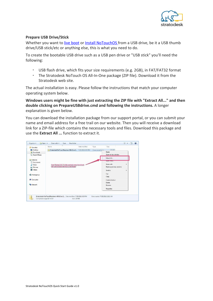

# **Prepare USB Drive/Stick**

Whether you want to [live boot](#page-8-0) or [Install NoTouchOS](#page-8-1) from a USB drive, be it a USB thumb drive/USB stick/etc or anything else, this is what you need to do.

To create the bootable USB drive such as a USB pen drive or "USB stick" you'll need the following:

- USB flash drive, which fits your size requirements (e.g. 2GB), in FAT/FAT32 format
- The Stratodesk NoTouch OS All-In-One package (ZIP file). Download it from the Stratodesk web site.

The actual installation is easy. Please follow the instructions that match your computer operating system below.

**Windows users might be fine with just extracting the ZIP file with "Extract All..." and then double clicking on PrepareUSBdrive.cmd and following the instructions.** A longer explanation is given below.

You can download the installation package from our support portal, or you can submit your name and email address for a free trail on our website. Then you will receive a download link for a ZIP-file which contains the necessary tools and files. Download this package and use the **Extract All ...** function to extract it.

| Favorites         |                                                                                            | Type                             | 135 KB                    |                       |
|-------------------|--------------------------------------------------------------------------------------------|----------------------------------|---------------------------|-----------------------|
| Desktop           | Stratodesk-NoTouchReceiver-AllInOne-2., 7/25/2011 6:33 PM                                  | Compressed (zinn.                | Open                      |                       |
| <b>Downloads</b>  |                                                                                            |                                  | Open in new window        |                       |
| Recent Places     |                                                                                            |                                  |                           |                       |
|                   |                                                                                            |                                  | Extract All               |                       |
| Libraries         |                                                                                            |                                  | <b>Open within</b>        |                       |
| · Documents       |                                                                                            |                                  | Share with                | ٠                     |
| Music             | Use:Extract All." In the context menu to extract<br>the compressed file into a new folder. |                                  |                           |                       |
| <b>E</b> Pictures |                                                                                            |                                  | Restore previous versions |                       |
| <b>Wideos</b>     |                                                                                            |                                  | Send to                   | $\blacktriangleright$ |
|                   |                                                                                            |                                  | Cut                       |                       |
| Homegroup         |                                                                                            |                                  | Copy                      |                       |
| Computer          |                                                                                            |                                  | Create shortcut           |                       |
|                   |                                                                                            |                                  | Delete                    |                       |
| <b>EN Network</b> |                                                                                            |                                  | Rename                    |                       |
|                   |                                                                                            |                                  |                           |                       |
|                   |                                                                                            |                                  | Properties                |                       |
|                   | Stratodesk-NoTouchReceiver-AllInOne-2 Date modified: 7/25/2011 6:33 PM                     | Date created: 7/26/2011 12:21 AM |                           |                       |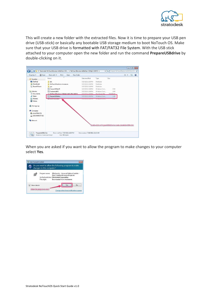

This will create a new folder with the extracted files. Now it is time to prepare your USB pen drive (USB-stick) or basically any bootable USB storage medium to boot NoTouch OS. Make sure that your USB drive is formatted with FAT/FAT32 File System. With the USB stick attached to your computer open the new folder and run the command **PrepareUSBdrive** by double-clicking on it.

|                                                | open<br>Share with v<br>Print<br>New folder<br>Burn<br>r |                                      |                              |                                                                | 三 ▼ | m |
|------------------------------------------------|----------------------------------------------------------|--------------------------------------|------------------------------|----------------------------------------------------------------|-----|---|
| Favorites                                      | Name                                                     | Date modified                        | Type                         | Size                                                           |     |   |
| Desktop                                        | bin                                                      | 7/27/2011 1:39 PM                    | File folder                  |                                                                |     |   |
| <b>Downloads</b>                               | NoTouchReceiver.vmwarevm                                 | 7/27/2011 1:39 PM                    | File folder                  |                                                                |     |   |
| Recent Places                                  | pxe                                                      | 7/27/2011 1:39 PM                    | File folder                  |                                                                |     |   |
|                                                | ConvertISOtoLFI                                          | 7/27/2011 1:39 PM                    | Windows Com                  | $2$ KB                                                         |     |   |
| Libraries                                      | CustomizeISO                                             | 7/27/2011 1:39 PM                    | Windows Com                  | 2KB                                                            |     |   |
| Documents                                      | NoTouchReceiver-2.30.0p5-LMD-256-110719                  | 7/27/2011 1-39 PM                    | Disc Image File              | 208 050 KB                                                     |     |   |
| Music                                          | PrepareUSBdrive                                          | 7/27/2011 1:39 PM                    | Windows Com                  | 1 KB                                                           |     |   |
| Pictures                                       | <b>PRICHARMENT</b>                                       | <b><i><b>CARTAGEMENT AND</b></i></b> | <b>WEIGHT MANAGEMENT AND</b> | 4.130                                                          |     |   |
| Computer<br>Local Disk (C:)<br>LISCONBOOT (E:) |                                                          |                                      |                              |                                                                |     |   |
| <b>EN</b> Network                              |                                                          |                                      |                              | Double-click on PrepareUSBdrive to create a bootable USB stick |     |   |

When you are asked if you want to allow the program to make changes to your computer select **Yes**.

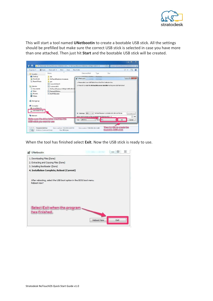

This will start a tool named **UNetbootin** to create a bootable USB stick. All the settings should be prefilled but make sure the correct USB stick is selected in case you have more than one attached. Then just hit **Start** and the bootable USB stick will be created.

| <b>Coco</b><br>Organize - |                                                        |                                                                                    |
|---------------------------|--------------------------------------------------------|------------------------------------------------------------------------------------|
| Favorites                 | Name                                                   | Date modified<br>Size<br>Type                                                      |
| Desktop                   | bin                                                    | 2/32/0011-1-20-044<br>Distribution                                                 |
| <b>Ja.</b> Downloads      | NoTouchReceiver.ymwareym                               | $\Box$<br><b>22</b> UNetbootin                                                     |
| Recent Places             | pxe                                                    | 1. Please select your USB flash drive at the 'Drive' selection box.                |
| Libraries                 | ConvertISOtoLFI<br>CustomizelSO                        | 2. Press OK to install the NoTouchReceiver Installer to the given USB flash drive! |
| Documents                 |                                                        |                                                                                    |
| Music                     | NoTouchReceiver-2.30.0p5-LMD-256-11<br>PrepareUSBdrive |                                                                                    |
| Pictures                  | StartPXELoader                                         |                                                                                    |
| <b>W</b> Videos           |                                                        |                                                                                    |
|                           |                                                        |                                                                                    |
| <b>Homegroup</b>          |                                                        |                                                                                    |
|                           |                                                        |                                                                                    |
| Computer                  |                                                        |                                                                                    |
| Local Disk (C:)           |                                                        |                                                                                    |
| LISCONBOOT (E:)           |                                                        |                                                                                    |
|                           |                                                        | - NoTouchReceiver-2.30.0p5-LMD-256-110719.iso<br><b>ISO</b><br>O Diskimage<br>iv.  |
| <b>EM</b> Network         |                                                        | t MB<br>Space used to preserve files across reboots (Ubuntu only): 0               |
|                           | Make sure the drive letter machtes the                 |                                                                                    |
|                           |                                                        | Type: USB Drive<br>- Drive E:\<br>OK<br>Cancel                                     |
| USB stick you want to use |                                                        |                                                                                    |

When the tool has finished select **Exit**. Now the USB stick is ready to use.

| UNetbootin<br>Z,                                                                  | 53<br>回                   |
|-----------------------------------------------------------------------------------|---------------------------|
| 1. Downloading Files (Done)                                                       |                           |
| 2. Extracting and Copying Files (Done)                                            |                           |
| 3. Installing Bootloader (Done)                                                   |                           |
| 4. Installation Complete, Reboot (Current)                                        |                           |
| After rebooting, select the USB boot option in the BIOS boot menu.<br>Reboot now? |                           |
|                                                                                   |                           |
| Select Exit when the program<br>has finished.                                     |                           |
|                                                                                   | <b>Reboot Now</b><br>Exit |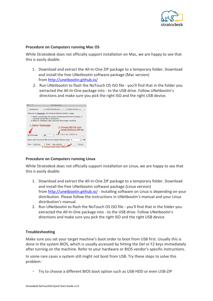

## **Procedure on Computers running Mac OS**

While Stratodesk does not officially support installation on Mac, we are happy to see that this is easily doable.

- 1. Download and extract the All-In-One ZIP package to a temporary folder. Download and install the free UNetbootin software package (Mac version) from<http://unetbootin.github.io/>
- 2. Run UNetbootin to flash the NoTouch OS ISO file you'll find that in the folder you extracted the All-In-One package into - to the USB drive. Follow UNetbootin's directions and make sure you pick the right ISO and the right USB device.

|                           | <b>3</b> UNetbootin                                                                                                                                                                    |
|---------------------------|----------------------------------------------------------------------------------------------------------------------------------------------------------------------------------------|
| <b>Distribution</b>       | $==$ Select Version $==$<br>== Select Distribution = $\div$<br>۵                                                                                                                       |
|                           | Welcome to UNetbootin, the Universal Netboot Installer. Usage:                                                                                                                         |
|                           | 1. Select a distribution and version to download from the list above, or<br>manually specify files to load below.<br>2. Select an installation type, and press OK to begin installing. |
|                           | 1. Select "Diskimage"<br>2. Choose ISO file from                                                                                                                                       |
|                           | inside NoTouch ZIP file                                                                                                                                                                |
| Diskimage                 | iver-2.36.0-EEs-130509.iso<br><b>ISO</b><br>$\cdots$                                                                                                                                   |
|                           | Space used to preserve files across reboots (Ubuntu only):<br>MB<br>$\Omega$                                                                                                           |
| <b>USB Drive</b><br>Type: | Cancel<br>/dev/disk2s1<br>OK<br>Drive:                                                                                                                                                 |
|                           | 3. Check and click "OK"                                                                                                                                                                |

## **Procedure on Computers running Linux**

While Stratodesk does not officially support installation on Linux, we are happy to see that this is easily doable.

- 1. Download and extract the All-In-One ZIP package to a temporary folder. Download and install the free UNetbootin software package (Linux version) from<http://unetbootin.github.io/> - Installing software on Linux is depending on your distribution. Please follow the instructions in UNetbootin's manual and your Linux distribution's manual.
- 2. Run UNetbootin to flash the NoTouch OS ISO file you'll find that in the folder you extracted the All-In-One package into - to the USB drive. Follow UNetbootin's directions and make sure you pick the right ISO and the right USB device

## **Troubleshooting**

Make sure you set your target machine's boot order to boot from USB first. Usually this is done in the system BIOS, which is usually accessed by hitting the Del or F2 keys immediately after turning on the machine. Refer to your hardware or BIOS vendor's specific instructions.

In some rare cases a system still might not boot from USB. Try these steps to solve this problem:

▪ Try to choose a different BIOS boot option such as USB-HDD or even USB-ZIP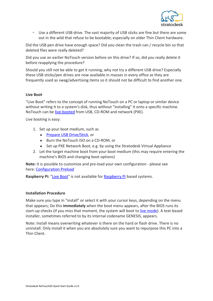

▪ Use a different USB drive. The vast majority of USB sticks are fine but there are some out in the wild that refuse to be bootable; especially on older Thin Client hardware.

Did the USB pen drive have enough space? Did you clean the trash can / recycle bin so that deleted files were really deleted?

Did you use an earlier NoTouch version before on this drive? If so, did you really delete it before reapplying the procedure?

Should you still not be able to get it running, why not try a different USB drive? Especially these USB sticks/pen drives are now available in masses in every office as they are frequently used as swag/advertising items so it should not be difficult to find another one.

# <span id="page-8-0"></span>**Live Boot**

"Live Boot" refers to the concept of running NoTouch on a PC or laptop or similar device without writing it to a system's disk, thus without "installing" it onto a specific machine. NoTouch can be [live-booted](#page-8-0) from USB, CD-ROM and network (PXE).

Live booting is easy:

- 1. Set up your boot medium, such as
	- [Prepare USB Drive/Stick,](#page-3-2) or
	- Burn the NoTouch ISO on a CD-ROM, or
	- Set up PXE Network Boot, e.g. by using the Stratodesk Virtual Appliance
- 2. Let the target machine boot from your boot medium (this may require entering the machine's BIOS and changing boot options)

**Note:** It is possible to customize and pre-load your own configuration - please see here: [Configuration Preload](#page-18-0)

Raspberry Pi: "[Live Boot"](#page-8-0) is not available for [Raspberry Pi](#page-12-0) based systems.

## <span id="page-8-1"></span>**Installation Procedure**

Make sure you type in "install" or select it with your cursor keys, depending on the menu that appears; Do this **immediately** when the boot menu appears, after the BIOS runs its start-up checks (if you miss that moment, the system will boot to [live mode\)](#page-8-0). A text-based installer, sometimes referred to by its internal codename GENESIS, appears.

Note: Install means overwriting whatever is there on the hard or flash drive. There is no uninstall. Only install it when you are absolutely sure you want to repurpose this PC into a Thin Client.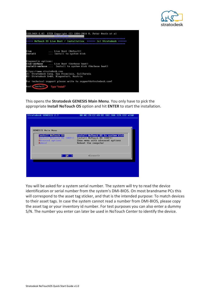



This opens the **Stratodesk GENESIS Main Menu**. You only have to pick the appropriate **Install NoTouch OS** option and hit **ENTER** to start the installation.

| <b>GENESIS Main Menu</b>                                                      |                                                                                                                          |
|-------------------------------------------------------------------------------|--------------------------------------------------------------------------------------------------------------------------|
| Install NoTouch OS<br>Install NoTouch OS (UEFI)<br>Advanced options<br>Reboot | Install NoTouch OS to system disk<br>Install NoTouch OS (UEFI)<br>Show menu with advanced options<br>Reboot the computer |
|                                                                               | $\langle$ Cancel $\rangle$                                                                                               |

You will be asked for a system serial number. The system will try to read the device identification or serial number from the system's DMI-BIOS. On most brandname PCs this will correspond to the asset tag sticker, and that is the intended purpose: To match devices to their asset tags. In case the system cannot read a number from DMI-BIOS, please copy the asset tag or your inventory id number. For test purposes you can also enter a dummy S/N. The number you enter can later be used in NoTouch Center to identify the device.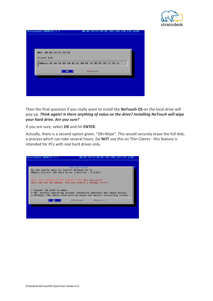

| MAC: 00:0C:29:C2:49:EC |                 |                                      |  |
|------------------------|-----------------|--------------------------------------|--|
| Client S/N:            |                 |                                      |  |
|                        |                 | UMware-56 4d 6d 06 80 45 8c 04-44 7e |  |
|                        | k.<br><b>OK</b> | $\langle$ Cancel>                    |  |
|                        |                 |                                      |  |
|                        |                 |                                      |  |
|                        |                 |                                      |  |

Then the final question if you really want to install the **NoTouch OS** on the local drive will pop up. *Think again! Is there anything of value on the drive? Installing NoTouch will wipe your hard drive. Are you sure?*

If you are sure, select **OK** and hit **ENTER**.

Actually, there is a second option given, "OK+Wipe". This would securely erase the full disk, a process which can take several hours. Do **NOT** use this on Thin Clients - this feature is intended for PCs with real hard drives only.

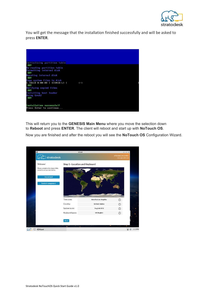

You will get the message that the installation finished successfully and will be asked to press **ENTER**.

| Re-reading partition table<br>Formatting internal disk<br>OK!<br>Mounting internal disk<br>OK!<br>Copy system files to disk<br>1.16GiB 0:00:08 [ 133MiB/s] [<br>$\langle = \rangle$<br>OR!<br>Verifying copied files |  |
|----------------------------------------------------------------------------------------------------------------------------------------------------------------------------------------------------------------------|--|
|                                                                                                                                                                                                                      |  |
|                                                                                                                                                                                                                      |  |
|                                                                                                                                                                                                                      |  |
|                                                                                                                                                                                                                      |  |
| <b>OK!</b>                                                                                                                                                                                                           |  |
| Installing boot loader                                                                                                                                                                                               |  |
| Using Grub2<br>0 <sub>K</sub>                                                                                                                                                                                        |  |
| Installation successful!                                                                                                                                                                                             |  |
| Press Enter to continue                                                                                                                                                                                              |  |

This will return you to the **GENESIS Main Menu** where you move the selection down to **Reboot** and press **ENTER**. The client will reboot and start up with **NoTouch OS**.

Now you are finished and after the reboot you will see the **NoTouch OS** Configuration Wizard.

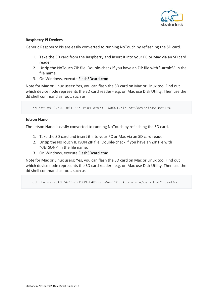

# <span id="page-12-0"></span>**Raspberry Pi Devices**

Generic Raspberry Pis are easily converted to running NoTouch by reflashing the SD card.

- 1. Take the SD card from the Raspberry and insert it into your PC or Mac via an SD card reader
- 2. Unzip the NoTouch ZIP file. Double-check if you have an ZIP file with "-armhf-" in the file name.
- 3. On Windows, execute FlashSDcard.cmd.

Note for Mac or Linux users: Yes, you can flash the SD card on Mac or Linux too. Find out which device node represents the SD card reader - e.g. on Mac use Disk Utility. Then use the dd shell command as root, such as

dd if=lnx-2.40.1864-EEs-k404-armhf-160604.bin of=/dev/disk2 bs=16m

## <span id="page-12-1"></span>**Jetson Nano**

The Jetson Nano is easily converted to running NoTouch by reflashing the SD card.

- 1. Take the SD card and insert it into your PC or Mac via an SD card reader
- 2. Unzip the NoTouch JETSON ZIP file. Double-check if you have an ZIP file with "-JETSON-" in the file name.
- 3. On Windows, execute FlashSDcard.cmd.

Note for Mac or Linux users: Yes, you can flash the SD card on Mac or Linux too. Find out which device node represents the SD card reader - e.g. on Mac use Disk Utility. Then use the dd shell command as root, such as

dd if=lnx-2.40.5633-JETSON-k409-arm64-190804.bin of=/dev/disk2 bs=16m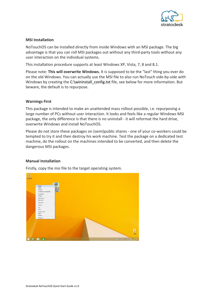

# <span id="page-13-0"></span>**MSI Installation**

NoTouchOS can be installed directly from inside Windows with an MSI package. The big advantage is that you can roll MSI packages out without any third-party tools without any user interaction on the individual systems.

This installation procedure supports at least Windows XP, Vista, 7, 8 and 8.1.

Please note: **This will overwrite Windows.** It is supposed to be the "last" thing you ever do on the old Windows. You can actually use the MSI file to also run NoTouch side-by-side with Windows by creating the C:\wininstall\_config.txt file, see below for more information. But beware, the default is to repurpose.

# <span id="page-13-1"></span>**Warnings First**

This package is intended to make an unattended mass rollout possible, i.e. repurposing a large number of PCs without user interaction. It looks and feels like a regular Windows MSI package, the only difference is that there is no uninstall - it will reformat the hard drive, overwrite Windows and install NoTouchOS.

Please do not store these packages on (semi)public shares - one of your co-workers could be tempted to try it and then destroy his work machine. Test the package on a dedicated test machine, do the rollout on the machines intended to be converted, and then delete the dangerous MSI packages.

# <span id="page-13-2"></span>**Manual Installation**

Firstly, copy the msi file to the target operating system.

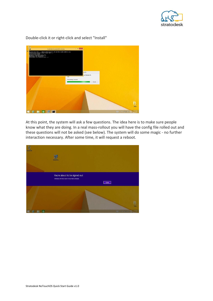



Double-click it or right-click and select "Install"

At this point, the system will ask a few questions. The idea here is to make sure people know what they are doing. In a real mass-rollout you will have the config file rolled out and these questions will not be asked (see below). The system will do some magic - no further interaction necessary. After some time, it will request a reboot.

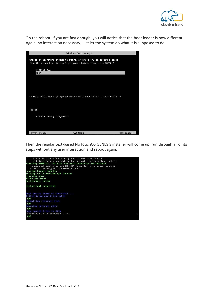

On the reboot, if you are fast enough, you will notice that the boot loader is now different. Again, no interaction necessary, just let the system do what it is supposed to do:

|                            | Windows Boot Manager                                                                                                                    |            |
|----------------------------|-----------------------------------------------------------------------------------------------------------------------------------------|------------|
|                            | Choose an operating system to start, or press TAB to select a tool:<br>(Use the arrow keys to highlight your choice, then press ENTER.) |            |
| Windows 8.1<br><b>GRUB</b> |                                                                                                                                         |            |
|                            |                                                                                                                                         |            |
|                            | Seconds until the highlighted choice will be started automatically: 2                                                                   |            |
| Tools:                     |                                                                                                                                         |            |
|                            | Windows Memory Diagnostic                                                                                                               |            |
| ENTER=Choose               | TAB=Menu                                                                                                                                | ESC=Cance] |

Then the regular text-based NoTouchOS GENESIS installer will come up, run through all of its steps without any user interaction and reboot again.

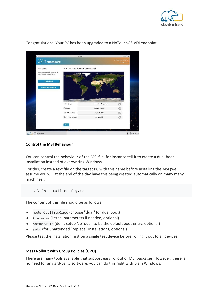

| stratodesk                                                         |                                |                            | NTD000C2995973E<br>192.168.2.199 |
|--------------------------------------------------------------------|--------------------------------|----------------------------|----------------------------------|
| Welcome!                                                           | Step 1 - Location and Keyboard |                            |                                  |
| Please complete the steps of this<br>wizard to set up your device. |                                |                            |                                  |
| <b>Skip wizard</b>                                                 |                                |                            |                                  |
|                                                                    |                                |                            |                                  |
| <b>Central management</b>                                          |                                |                            |                                  |
|                                                                    |                                |                            |                                  |
|                                                                    |                                |                            |                                  |
|                                                                    | Time zone:                     | <b>America/Los Angeles</b> |                                  |
|                                                                    | Country:                       | <b>United States</b>       |                                  |
|                                                                    | System locale:                 | English (US)               |                                  |
|                                                                    | Keyboard layout:               | <b>US English</b>          | O                                |
|                                                                    |                                |                            |                                  |

Congratulations. Your PC has been upgraded to a NoTouchOS VDI endpoint.

## <span id="page-16-0"></span>**Control the MSI Behaviour**

You can control the behaviour of the MSI file, for instance tell it to create a dual-boot installation instead of overwriting Windows.

For this, create a text file on the target PC with this name before installing the MSI (we assume you will at the end of the day have this being created automatically on many many machines):

C:\wininstall\_config.txt

The content of this file should be as follows:

- mode=dual|replace (choose "dual" for dual boot)
- kparams= (kernel parameters if needed, optional)
- notdefault (don't setup NoTouch to be the default boot entry, optional)
- auto (for unattended "replace" installations, optional)

Please test the installation first on a single test device before rolling it out to all devices.

#### <span id="page-16-1"></span>**Mass Rollout with Group Policies (GPO)**

There are many tools available that support easy rollout of MSI packages. However, there is no need for any 3rd-party software, you can do this right with plain Windows.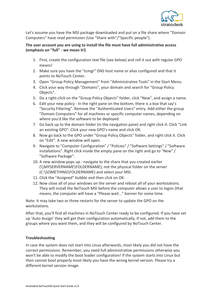

Let's assume you have the MSI package downloaded and put on a file share where "Domain Computers" have read permission (Use "Share with"/"Specific people").

# **The user account you are using to install the file must have full administrative access (emphasis on "full" - we mean it!)**

- 1. First, create the configuration text file (see below) and roll it out with regular GPO means!
- 2. Make sure you have the "tcmgr" DNS host name or alias configured and that it points to NoTouch Center.
- 3. Open "Group Policy Management" from "Administrative Tools" in the Start Menu.
- 4. Click your way through "Domains", your domain and search for "Group Policy Objects".
- 5. Do a right-click on the "Group Policy Objects" folder, click "New", and assign a name.
- 6. Edit your new policy In the right pane on the bottom, there is a box that say's "Security Filtering". Remove the "Authenticated Users" entry. Add either the group "Domain Computers" for all machines or specific computer names, depending on where you'd like the software to be deployed.
- 7. Go back up to the domain folder (in the navigation pane) and right click it. Click "Link an existing GPO". Click your new GPO's name and click OK.
- 8. Now go back to the GPO under "Group Policy Objects" folder, and right click it. Click on "Edit". A new window will open.
- 9. Navigate to "Computer Configuration" / "Policies" / "Software Settings" / "Software installations". Right click inside the empty pane on the right and go to "New" / "Software Package".
- 10. A new window pops up navigate to the share that you created earlier (\\MYSERVERNAME\FOLDERNAME), not the physical folder on the server (C:\SOMETHING\FOLDERNAME) and select your MSI.
- 11. Click the "Assigned" bubble and then click on OK.
- 12. Now close all of your windows on the server and reboot all of your workstations. They will install the NoTouch MSI before the computer allows a user to logon (that means, the computer will have a "Please wait..." banner for some time.

Note: It may take two or three restarts for the server to update the GPO on the workstations.

After that, you'll find all machines in NoTouch Center ready to be configured. If you have set up 'Auto Assign' they will get their configuration automatically, if not, add them to the groups where you want them, and they will be configured by NoTouch Center.

# <span id="page-17-0"></span>**Troubleshooting**

In case the system does not start into Linux afterwards, most likely you did not have the correct permissions. Remember, you need full administrative permissions otherwise you won't be able to modify the boot loader configuration! If the system starts into Linux but then cannot boot properly most likely you have the wrong kernel version. Please try a different kernel version image.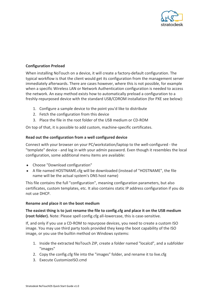

# <span id="page-18-0"></span>**Configuration Preload**

When installing NoTouch on a device, it will create a factory-default configuration. The typical workflow is that the client would get its configuration from the management server immediately afterwards. There are cases however, where this is not possible, for example when a specific Wireless LAN or Network Authentication configuration is needed to access the network. An easy method exists how to automatically preload a configuration to a freshly-repurposed device with the standard USB/CDROM installation (for PXE see below):

- 1. Configure a sample device to the point you'd like to distribute
- 2. Fetch the configuration from this device
- 3. Place the file in the root folder of the USB medium or CD-ROM

On top of that, it is possible to add custom, machine-specific certificates.

# <span id="page-18-1"></span>**Read out the configuration from a well configured device**

Connect with your browser on your PC/workstation/laptop to the well-configured - the "template" device - and log in with your admin password. Even though it resembles the local configuration, some additional menu items are available:

- Choose "Download configuration"
- A file named HOSTNAME.cfg will be downloaded (instead of "HOSTNAME", the file name will be the actual system's DNS host name)

This file contains the full "configuration", meaning configuration parameters, but also certificates, custom templates, etc. It also contains static IP address configuration if you do not use DHCP.

## <span id="page-18-2"></span>**Rename and place it on the boot medium**

**The easiest thing is to just rename the file to config.cfg and place it on the USB medium (root folder).** Note: Please spell config.cfg all-lowercase, this is case-sensitive.

If, and only if you use a CD-ROM to repurpose devices, you need to create a custom ISO image. You may use third party tools provided they keep the boot capability of the ISO image, or you use the builtin method on Windows systems:

- 1. Inside the extracted NoTouch ZIP, create a folder named "localcd", and a subfolder "images"
- 2. Copy the config.cfg file into the "images" folder, and rename it to live.cfg
- <span id="page-18-3"></span>3. Execute CustomizeISO.cmd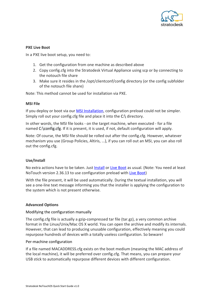

# **PXE Live Boot**

In a PXE live boot setup, you need to:

- 1. Get the configuration from one machine as described above
- 2. Copy config.cfg into the Stratodesk Virtual Appliance using scp or by connecting to the notouch file share
- 3. Make sure it resides in the /opt/clientconf/config directory (or the config subfolder of the notouch file share)

Note: This method cannot be used for installation via PXE.

# <span id="page-19-0"></span>**MSI File**

If you deploy or boot via our **MSI Installation**, configuration preload could not be simpler. Simply roll out your config.cfg file and place it into the C:\ directory.

In other words, the MSI file looks - on the target machine, when executed - for a file named C:\config.cfg. If it is present, it is used, if not, default configuration will apply.

Note: Of course, the MSI file should be rolled out after the config.cfg. However, whatever mechanism you use (Group Policies, Altiris, ...), if you can roll out an MSI, you can also roll out the config.cfg.

# <span id="page-19-1"></span>**Use/Install**

No extra actions have to be taken. Just **Install or Live Boot** as usual. (Note: You need at least NoTouch version 2.36.13 to use configuration preload with [Live Boot](#page-8-0))

With the file present, it will be used automatically. During the textual installation, you will see a one-line text message informing you that the installer is applying the configuration to the system which is not present otherwise.

## <span id="page-19-2"></span>**Advanced Options**

## Modifying the configuration manually

The config.cfg file is actually a gzip-compressed tar file (tar.gz), a very common archive format in the Linux/Unix/Mac OS X world. You can open the archive and modify its internals. However, that can lead to producing unusable configuration, effectively meaning you could repurpose hundreds of devices with a totally useless configuration. So beware!

## Per-machine configuration

If a file named MACADDRESS.cfg exists on the boot medium (meaning the MAC address of the local machine), it will be preferred over config.cfg. That means, you can prepare your USB stick to automatically repurpose different devices with different configuration.